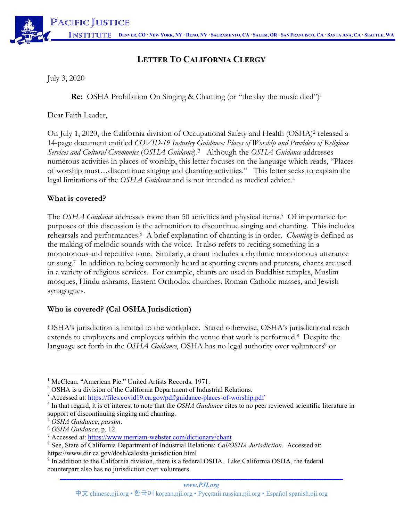# **LETTER TO CALIFORNIA CLERGY**

July 3, 2020

**Re:** OSHA Prohibition On Singing & Chanting (or "the day the music died")<sup>1</sup>

Dear Faith Leader,

On July 1, 2020, the California division of Occupational Safety and Health (OSHA)2 released a 14-page document entitled *COVID-19 Industry Guidance: Places of Worship and Providers of Religious Services and Cultural Ceremonies* (*OSHA Guidance*). <sup>3</sup> Although the *OSHA Guidance* addresses numerous activities in places of worship, this letter focuses on the language which reads, "Places of worship must…discontinue singing and chanting activities." This letter seeks to explain the legal limitations of the *OSHA Guidance* and is not intended as medical advice. 4

## **What is covered?**

The *OSHA Guidance* addresses more than 50 activities and physical items.5 Of importance for purposes of this discussion is the admonition to discontinue singing and chanting. This includes rehearsals and performances.6 A brief explanation of chanting is in order. *Chanting* is defined as the making of melodic sounds with the voice. It also refers to reciting something in a monotonous and repetitive tone. Similarly, a chant includes a rhythmic monotonous utterance or song.7 In addition to being commonly heard at sporting events and protests, chants are used in a variety of religious services. For example, chants are used in Buddhist temples, Muslim mosques, Hindu ashrams, Eastern Orthodox churches, Roman Catholic masses, and Jewish synagogues.

## **Who is covered? (Cal OSHA Jurisdiction)**

OSHA's jurisdiction is limited to the workplace. Stated otherwise, OSHA's jurisdictional reach extends to employers and employees within the venue that work is performed. 8 Despite the language set forth in the *OSHA Guidance*, OSHA has no legal authority over volunteers<sup>9</sup> or

<sup>&</sup>lt;sup>1</sup> McClean. "American Pie." United Artists Records. 1971.

<sup>2</sup> OSHA is a division of the California Department of Industrial Relations.

<sup>&</sup>lt;sup>3</sup> Accessed at: https://files.covid19.ca.gov/pdf/guidance-places-of-worship.pdf

<sup>4</sup> In that regard, it is of interest to note that the *OSHA Guidance* cites to no peer reviewed scientific literature in support of discontinuing singing and chanting.

<sup>5</sup> *OSHA Guidance*, *passim*.

<sup>6</sup> *OSHA Guidance*, p. 12.

<sup>7</sup> Accessed at: https://www.merriam-webster.com/dictionary/chant

<sup>8</sup> See, State of California Department of Industrial Relations: *Cal/OSHA Jurisdiction*. Accessed at: https://www.dir.ca.gov/dosh/calosha-jurisdiction.html

**\_\_\_\_\_\_\_\_\_\_\_\_\_\_\_\_\_\_\_\_\_\_\_\_\_\_\_\_\_\_\_\_\_\_\_\_\_\_\_\_\_\_\_\_\_\_\_\_\_\_\_\_\_\_\_\_\_\_\_\_\_\_\_\_\_\_\_\_\_\_\_\_\_\_\_\_\_\_\_\_\_\_\_\_\_\_** <sup>9</sup> In addition to the California division, there is a federal OSHA. Like California OSHA, the federal counterpart also has no jurisdiction over volunteers.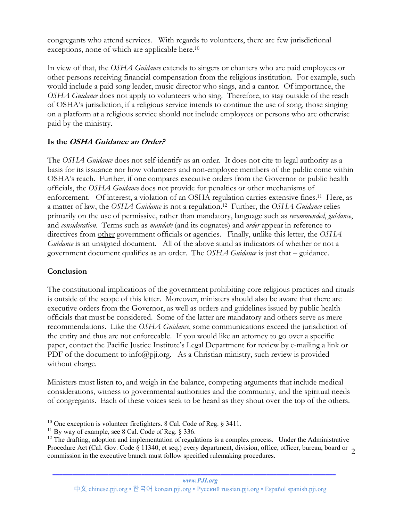congregants who attend services. With regards to volunteers, there are few jurisdictional exceptions, none of which are applicable here. 10

In view of that, the *OSHA Guidance* extends to singers or chanters who are paid employees or other persons receiving financial compensation from the religious institution. For example, such would include a paid song leader, music director who sings, and a cantor. Of importance, the *OSHA Guidance* does not apply to volunteers who sing. Therefore, to stay outside of the reach of OSHA's jurisdiction, if a religious service intends to continue the use of song, those singing on a platform at a religious service should not include employees or persons who are otherwise paid by the ministry.

## **Is the OSHA Guidance an Order?**

The *OSHA Guidance* does not self-identify as an order. It does not cite to legal authority as a basis for its issuance nor how volunteers and non-employee members of the public come within OSHA's reach. Further, if one compares executive orders from the Governor or public health officials, the *OSHA Guidance* does not provide for penalties or other mechanisms of enforcement. Of interest, a violation of an OSHA regulation carries extensive fines.11 Here, as a matter of law, the *OSHA Guidance* is not a regulation.12 Further, the *OSHA Guidance* relies primarily on the use of permissive, rather than mandatory, language such as *recommended*, *guidance*, and *consideration*. Terms such as *mandate* (and its cognates) and *order* appear in reference to directives from other government officials or agencies. Finally, unlike this letter, the *OSHA Guidance* is an unsigned document. All of the above stand as indicators of whether or not a government document qualifies as an order. The *OSHA Guidance* is just that – guidance.

## **Conclusion**

The constitutional implications of the government prohibiting core religious practices and rituals is outside of the scope of this letter. Moreover, ministers should also be aware that there are executive orders from the Governor, as well as orders and guidelines issued by public health officials that must be considered. Some of the latter are mandatory and others serve as mere recommendations. Like the *OSHA Guidance*, some communications exceed the jurisdiction of the entity and thus are not enforceable. If you would like an attorney to go over a specific paper, contact the Pacific Justice Institute's Legal Department for review by e-mailing a link or PDF of the document to info@pji.org. As a Christian ministry, such review is provided without charge.

Ministers must listen to, and weigh in the balance, competing arguments that include medical considerations, witness to governmental authorities and the community, and the spiritual needs of congregants. Each of these voices seek to be heard as they shout over the top of the others.

**\_\_\_\_\_\_\_\_\_\_\_\_\_\_\_\_\_\_\_\_\_\_\_\_\_\_\_\_\_\_\_\_\_\_\_\_\_\_\_\_\_\_\_\_\_\_\_\_\_\_\_\_\_\_\_\_\_\_\_\_\_\_\_\_\_\_\_\_\_\_\_\_\_\_\_\_\_\_\_\_\_\_\_\_\_\_**

<sup>&</sup>lt;sup>10</sup> One exception is volunteer firefighters. 8 Cal. Code of Reg.  $\S$  3411.

 $11$  By way of example, see 8 Cal. Code of Reg. § 336.

Procedure Act (Cal. Gov. Code § 11340, et seq.) every department, division, office, officer, bureau, board or 2  $12$  The drafting, adoption and implementation of regulations is a complex process. Under the Administrative commission in the executive branch must follow specified rulemaking procedures.